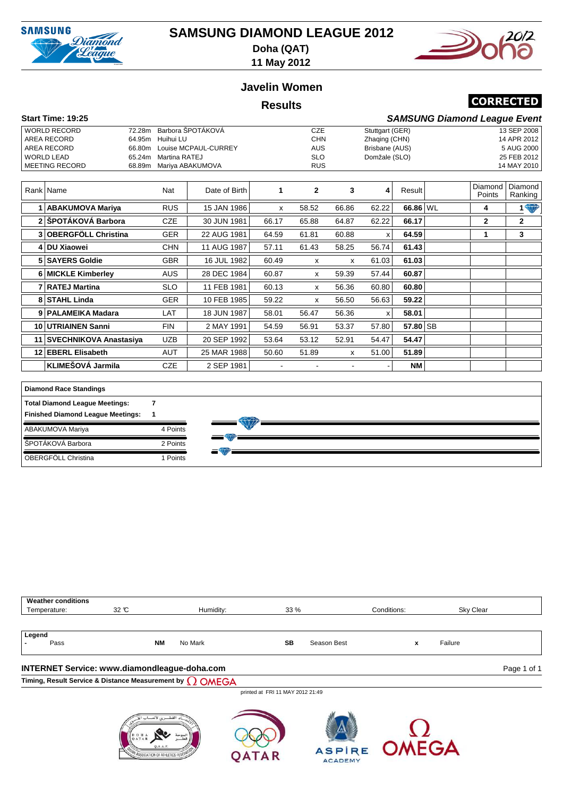

## **SAMSUNG DIAMOND LEAGUE 2012 Doha (QAT)**



**11 May 2012**

### **Javelin Women**

#### **Results**

## **CORRECTED**

| Start Time: 19:25     |                             |            |                 | <b>SAMSUNG Diamond League Event</b> |
|-----------------------|-----------------------------|------------|-----------------|-------------------------------------|
| <b>WORLD RECORD</b>   | 72.28m Barbora SPOTÁKOVÁ    | CZE        | Stuttgart (GER) | 13 SEP 2008                         |
| AREA RECORD           | 64.95m Huihui LU            | <b>CHN</b> | Zhaging (CHN)   | 14 APR 2012                         |
| AREA RECORD           | 66.80m Louise MCPAUL-CURREY | AUS        | Brisbane (AUS)  | 5 AUG 2000                          |
| WORLD LEAD            | Martina RATEJ<br>65.24m     | <b>SLO</b> | Domžale (SLO)   | 25 FEB 2012                         |
| <b>MEETING RECORD</b> | 68.89m Mariya ABAKUMOVA     | <b>RUS</b> |                 | 14 MAY 2010                         |

| Rank Name                 | Nat        | Date of Birth | 1     | $\mathbf{2}$ | 3     | 4     | Result     | Diamond<br>Points | Diamond<br>Ranking |
|---------------------------|------------|---------------|-------|--------------|-------|-------|------------|-------------------|--------------------|
| <b>ABAKUMOVA Mariya</b>   | <b>RUS</b> | 15 JAN 1986   | X     | 58.52        | 66.86 | 62.22 | 66.86 WL   | 4                 | <b>1 W</b>         |
| 2 ŠPOTÁKOVÁ Barbora       | <b>CZE</b> | 30 JUN 1981   | 66.17 | 65.88        | 64.87 | 62.22 | 66.17      | $\mathbf{2}$      | $\mathbf{2}$       |
| 3 OBERGFÖLL Christina     | <b>GER</b> | 22 AUG 1981   | 64.59 | 61.81        | 60.88 | x     | 64.59      |                   | 3                  |
| 4 DU Xiaowei              | <b>CHN</b> | 11 AUG 1987   | 57.11 | 61.43        | 58.25 | 56.74 | 61.43      |                   |                    |
| 5 SAYERS Goldie           | <b>GBR</b> | 16 JUL 1982   | 60.49 | х            | х     | 61.03 | 61.03      |                   |                    |
| 6 MICKLE Kimberley        | <b>AUS</b> | 28 DEC 1984   | 60.87 | x            | 59.39 | 57.44 | 60.87      |                   |                    |
| 7 RATEJ Martina           | <b>SLO</b> | 11 FEB 1981   | 60.13 | x            | 56.36 | 60.80 | 60.80      |                   |                    |
| 8 STAHL Linda             | <b>GER</b> | 10 FEB 1985   | 59.22 | x            | 56.50 | 56.63 | 59.22      |                   |                    |
| 9 PALAMEIKA Madara        | LAT        | 18 JUN 1987   | 58.01 | 56.47        | 56.36 | x     | 58.01      |                   |                    |
| 10 UTRIAINEN Sanni        | <b>FIN</b> | 2 MAY 1991    | 54.59 | 56.91        | 53.37 | 57.80 | $57.80$ SB |                   |                    |
| 11 SVECHNIKOVA Anastasiya | <b>UZB</b> | 20 SEP 1992   | 53.64 | 53.12        | 52.91 | 54.47 | 54.47      |                   |                    |
| 12 EBERL Elisabeth        | <b>AUT</b> | 25 MAR 1988   | 50.60 | 51.89        | x     | 51.00 | 51.89      |                   |                    |
| KLIMEŠOVÁ Jarmila         | <b>CZE</b> | 2 SEP 1981    |       |              |       |       | <b>NM</b>  |                   |                    |

| <b>Diamond Race Standings</b>            |          |  |
|------------------------------------------|----------|--|
| <b>Total Diamond League Meetings:</b>    |          |  |
| <b>Finished Diamond League Meetings:</b> |          |  |
| ABAKUMOVA Mariya                         | 4 Points |  |
| ŠPOTÁKOVÁ Barbora                        | 2 Points |  |
| OBERGFÖLL Christina                      | Points   |  |

| <b>Weather conditions</b> |                                                             |                      |                          |             |           |  |  |  |  |
|---------------------------|-------------------------------------------------------------|----------------------|--------------------------|-------------|-----------|--|--|--|--|
| Temperature:              | 32 °C                                                       | Humidity:            | 33%                      | Conditions: | Sky Clear |  |  |  |  |
|                           |                                                             |                      |                          |             |           |  |  |  |  |
| Legend                    |                                                             |                      |                          |             |           |  |  |  |  |
| Pass                      |                                                             | <b>NM</b><br>No Mark | <b>SB</b><br>Season Best | X           | Failure   |  |  |  |  |
|                           |                                                             |                      |                          |             |           |  |  |  |  |
|                           | INTERNET Service: www.diamondleague-doha.com<br>Page 1 of 1 |                      |                          |             |           |  |  |  |  |

**Timing, Result Service & Distance Measurement by**

printed at FRI 11 MAY 2012 21:49